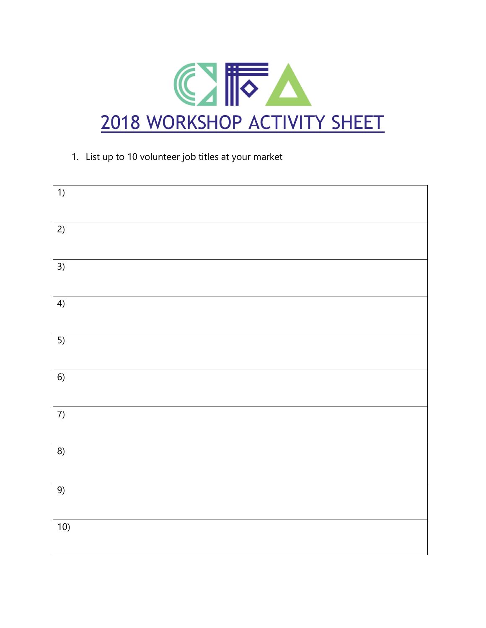

## 1. List up to 10 volunteer job titles at your market

| 1)   |  |
|------|--|
|      |  |
|      |  |
|      |  |
|      |  |
| 2)   |  |
|      |  |
|      |  |
|      |  |
| 3)   |  |
|      |  |
|      |  |
|      |  |
|      |  |
| 4)   |  |
|      |  |
|      |  |
|      |  |
|      |  |
| 5)   |  |
|      |  |
|      |  |
|      |  |
|      |  |
| $6)$ |  |
|      |  |
|      |  |
|      |  |
| 7)   |  |
|      |  |
|      |  |
|      |  |
|      |  |
| 8)   |  |
|      |  |
|      |  |
|      |  |
|      |  |
| 9)   |  |
|      |  |
|      |  |
|      |  |
|      |  |
| 10)  |  |
|      |  |
|      |  |
|      |  |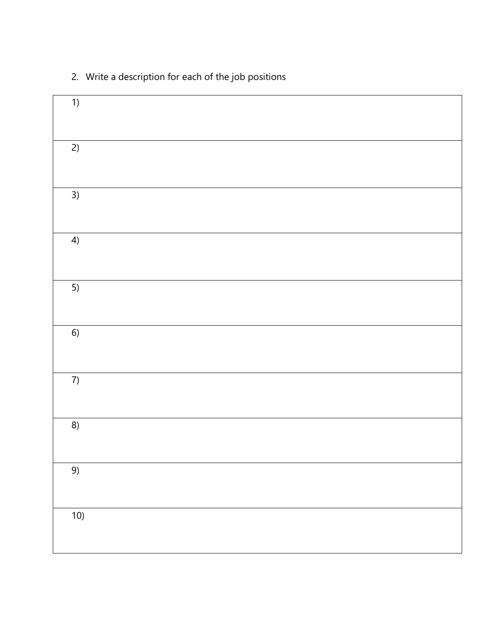| 1)   |  |  |
|------|--|--|
|      |  |  |
| 2)   |  |  |
|      |  |  |
| 3)   |  |  |
|      |  |  |
| 4)   |  |  |
|      |  |  |
| 5)   |  |  |
|      |  |  |
| $6)$ |  |  |
|      |  |  |
| 7)   |  |  |
|      |  |  |
| 8)   |  |  |
|      |  |  |
| 9)   |  |  |
|      |  |  |
| 10)  |  |  |
|      |  |  |

## 2. Write a description for each of the job positions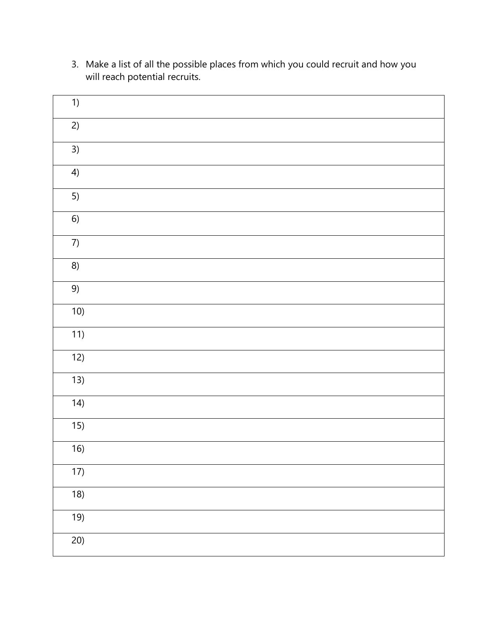| 1)               |  |  |
|------------------|--|--|
| 2)               |  |  |
| 3)               |  |  |
| 4)               |  |  |
| 5)               |  |  |
| $6)$             |  |  |
| $7)$             |  |  |
| 8)               |  |  |
| 9)               |  |  |
| 10)              |  |  |
| 11)              |  |  |
| 12)              |  |  |
| 13)              |  |  |
| 14)              |  |  |
| $\overline{15)}$ |  |  |
| 16)              |  |  |
| 17)              |  |  |
| 18)              |  |  |
| 19)              |  |  |
| 20)              |  |  |

3. Make a list of all the possible places from which you could recruit and how you will reach potential recruits.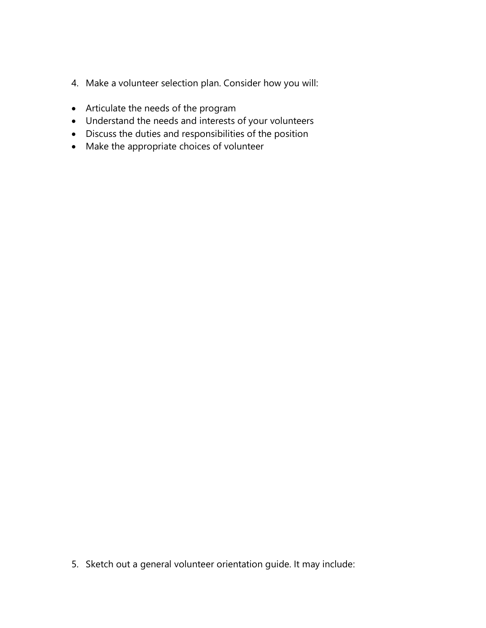- 4. Make a volunteer selection plan. Consider how you will:
- Articulate the needs of the program
- Understand the needs and interests of your volunteers
- Discuss the duties and responsibilities of the position
- Make the appropriate choices of volunteer

5. Sketch out a general volunteer orientation guide. It may include: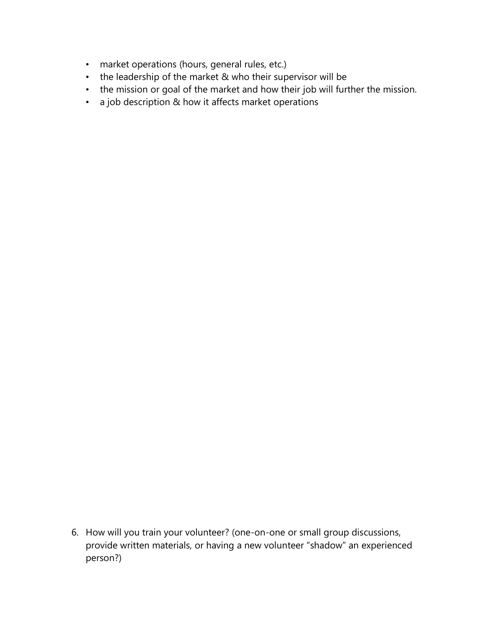- market operations (hours, general rules, etc.)
- the leadership of the market & who their supervisor will be
- the mission or goal of the market and how their job will further the mission.
- a job description & how it affects market operations

6. How will you train your volunteer? (one-on-one or small group discussions, provide written materials, or having a new volunteer "shadow" an experienced person?)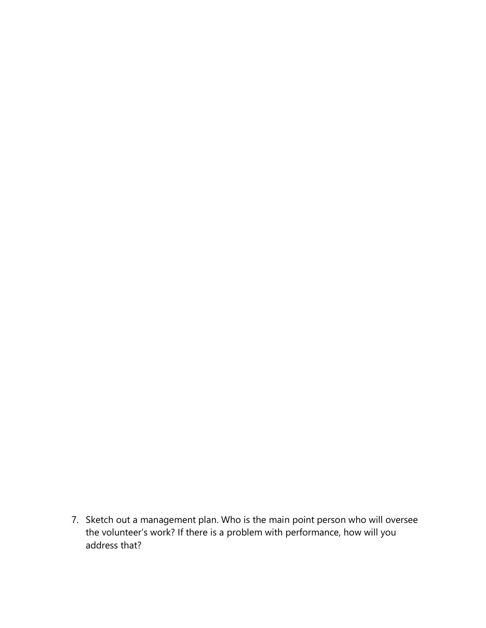7. Sketch out a management plan. Who is the main point person who will oversee the volunteer's work? If there is a problem with performance, how will you address that?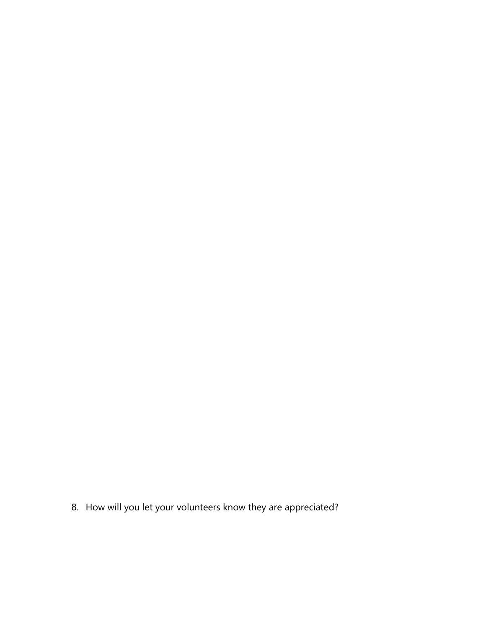8. How will you let your volunteers know they are appreciated?